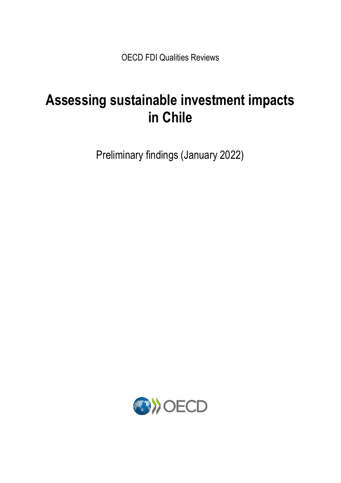OECD FDI Qualities Reviews

# **Assessing sustainable investment impacts in Chile**

Preliminary findings (January 2022)

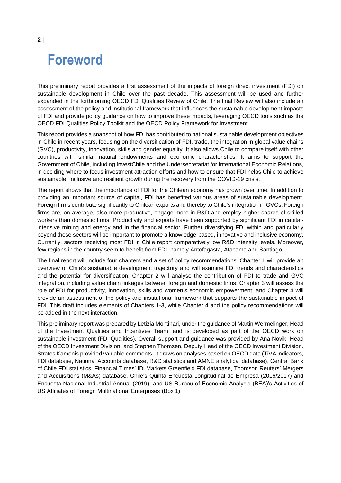# **Foreword**

This preliminary report provides a first assessment of the impacts of foreign direct investment (FDI) on sustainable development in Chile over the past decade. This assessment will be used and further expanded in the forthcoming OECD FDI Qualities Review of Chile. The final Review will also include an assessment of the policy and institutional framework that influences the sustainable development impacts of FDI and provide policy guidance on how to improve these impacts, leveraging OECD tools such as the OECD FDI Qualities Policy Toolkit and the OECD Policy Framework for Investment.

This report provides a snapshot of how FDI has contributed to national sustainable development objectives in Chile in recent years, focusing on the diversification of FDI, trade, the integration in global value chains (GVC), productivity, innovation, skills and gender equality. It also allows Chile to compare itself with other countries with similar natural endowments and economic characteristics. It aims to support the Government of Chile, including InvestChile and the Undersecretariat for International Economic Relations, in deciding where to focus investment attraction efforts and how to ensure that FDI helps Chile to achieve sustainable, inclusive and resilient growth during the recovery from the COVID-19 crisis.

The report shows that the importance of FDI for the Chilean economy has grown over time. In addition to providing an important source of capital, FDI has benefited various areas of sustainable development. Foreign firms contribute significantly to Chilean exports and thereby to Chile's integration in GVCs. Foreign firms are, on average, also more productive, engage more in R&D and employ higher shares of skilled workers than domestic firms. Productivity and exports have been supported by significant FDI in capitalintensive mining and energy and in the financial sector. Further diversifying FDI within and particularly beyond these sectors will be important to promote a knowledge-based, innovative and inclusive economy. Currently, sectors receiving most FDI in Chile report comparatively low R&D intensity levels. Moreover, few regions in the country seem to benefit from FDI, namely Antofagasta, Atacama and Santiago.

The final report will include four chapters and a set of policy recommendations. Chapter 1 will provide an overview of Chile's sustainable development trajectory and will examine FDI trends and characteristics and the potential for diversification; Chapter 2 will analyse the contribution of FDI to trade and GVC integration, including value chain linkages between foreign and domestic firms; Chapter 3 will assess the role of FDI for productivity, innovation, skills and women's economic empowerment; and Chapter 4 will provide an assessment of the policy and institutional framework that supports the sustainable impact of FDI. This draft includes elements of Chapters 1-3, while Chapter 4 and the policy recommendations will be added in the next interaction.

This preliminary report was prepared by Letizia Montinari, under the guidance of Martin Wermelinger, Head of the Investment Qualities and Incentives Team, and is developed as part of the OECD work on sustainable investment (FDI Qualities). Overall support and guidance was provided by Ana Novik, Head of the OECD Investment Division, and Stephen Thomsen, Deputy Head of the OECD Investment Division. Stratos Kamenis provided valuable comments. It draws on analyses based on OECD data (TiVA indicators, FDI database, National Accounts database, R&D statistics and AMNE analytical database), Central Bank of Chile FDI statistics, Financial Times' fDi Markets Greenfield FDI database, Thomson Reuters' Mergers and Acquisitions (M&As) database, Chile's Quinta Encuesta Longitudinal de Empresa (2016/2017) and Encuesta Nacional Industrial Annual (2019), and US Bureau of Economic Analysis (BEA)'s Activities of US Affiliates of Foreign Multinational Enterprises [\(Box](#page-6-0) 1).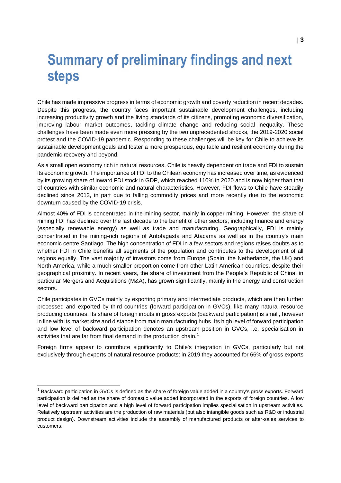# **Summary of preliminary findings and next steps**

Chile has made impressive progress in terms of economic growth and poverty reduction in recent decades. Despite this progress, the country faces important sustainable development challenges, including increasing productivity growth and the living standards of its citizens, promoting economic diversification, improving labour market outcomes, tackling climate change and reducing social inequality. These challenges have been made even more pressing by the two unprecedented shocks, the 2019-2020 social protest and the COVID-19 pandemic. Responding to these challenges will be key for Chile to achieve its sustainable development goals and foster a more prosperous, equitable and resilient economy during the pandemic recovery and beyond.

As a small open economy rich in natural resources, Chile is heavily dependent on trade and FDI to sustain its economic growth. The importance of FDI to the Chilean economy has increased over time, as evidenced by its growing share of inward FDI stock in GDP, which reached 110% in 2020 and is now higher than that of countries with similar economic and natural characteristics. However, FDI flows to Chile have steadily declined since 2012, in part due to falling commodity prices and more recently due to the economic downturn caused by the COVID-19 crisis.

Almost 40% of FDI is concentrated in the mining sector, mainly in copper mining. However, the share of mining FDI has declined over the last decade to the benefit of other sectors, including finance and energy (especially renewable energy) as well as trade and manufacturing. Geographically, FDI is mainly concentrated in the mining-rich regions of Antofagasta and Atacama as well as in the country's main economic centre Santiago. The high concentration of FDI in a few sectors and regions raises doubts as to whether FDI in Chile benefits all segments of the population and contributes to the development of all regions equally. The vast majority of investors come from Europe (Spain, the Netherlands, the UK) and North America, while a much smaller proportion come from other Latin American countries, despite their geographical proximity. In recent years, the share of investment from the People's Republic of China, in particular Mergers and Acquisitions (M&A), has grown significantly, mainly in the energy and construction sectors.

Chile participates in GVCs mainly by exporting primary and intermediate products, which are then further processed and exported by third countries (forward participation in GVCs), like many natural resource producing countries. Its share of foreign inputs in gross exports (backward participation) is small, however in line with its market size and distance from main manufacturing hubs. Its high level of forward participation and low level of backward participation denotes an upstream position in GVCs, i.e. specialisation in activities that are far from final demand in the production chain.<sup>1</sup>

Foreign firms appear to contribute significantly to Chile's integration in GVCs, particularly but not exclusively through exports of natural resource products: in 2019 they accounted for 66% of gross exports

 $1$  Backward participation in GVCs is defined as the share of foreign value added in a country's gross exports. Forward participation is defined as the share of domestic value added incorporated in the exports of foreign countries. A low level of backward participation and a high level of forward participation implies specialisation in upstream activities. Relatively upstream activities are the production of raw materials (but also intangible goods such as R&D or industrial product design). Downstream activities include the assembly of manufactured products or after-sales services to customers.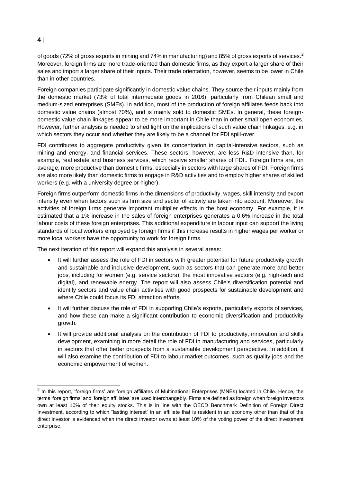# **4**

of goods (72% of gross exports in mining and 74% in manufacturing) and 85% of gross exports of services.<sup>2</sup> Moreover, foreign firms are more trade-oriented than domestic firms, as they export a larger share of their sales and import a larger share of their inputs. Their trade orientation, however, seems to be lower in Chile than in other countries.

Foreign companies participate significantly in domestic value chains. They source their inputs mainly from the domestic market (73% of total intermediate goods in 2016), particularly from Chilean small and medium-sized enterprises (SMEs). In addition, most of the production of foreign affiliates feeds back into domestic value chains (almost 70%), and is mainly sold to domestic SMEs. In general, these foreigndomestic value chain linkages appear to be more important in Chile than in other small open economies. However, further analysis is needed to shed light on the implications of such value chain linkages, e.g. in which sectors they occur and whether they are likely to be a channel for FDI spill-over.

FDI contributes to aggregate productivity given its concentration in capital-intensive sectors, such as mining and energy, and financial services. These sectors, however, are less R&D intensive than, for example, real estate and business services, which receive smaller shares of FDI.. Foreign firms are, on average, more productive than domestic firms, especially in sectors with large shares of FDI. Foreign firms are also more likely than domestic firms to engage in R&D activities and to employ higher shares of skilled workers (e.g. with a university degree or higher).

Foreign firms outperform domestic firms in the dimensions of productivity, wages, skill intensity and export intensity even when factors such as firm size and sector of activity are taken into account. Moreover, the activities of foreign firms generate important multiplier effects in the host economy. For example, it is estimated that a 1% increase in the sales of foreign enterprises generates a 0.6% increase in the total labour costs of these foreign enterprises. This additional expenditure in labour input can support the living standards of local workers employed by foreign firms if this increase results in higher wages per worker or more local workers have the opportunity to work for foreign firms.

The next iteration of this report will expand this analysis in several areas:

- It will further assess the role of FDI in sectors with greater potential for future productivity growth and sustainable and inclusive development, such as sectors that can generate more and better jobs, including for women (e.g. service sectors), the most innovative sectors (e.g. high-tech and digital), and renewable energy. The report will also assess Chile's diversification potential and identify sectors and value chain activities with good prospects for sustainable development and where Chile could focus its FDI attraction efforts.
- It will further discuss the role of FDI in supporting Chile's exports, particularly exports of services, and how these can make a significant contribution to economic diversification and productivity growth.
- It will provide additional analysis on the contribution of FDI to productivity, innovation and skills development, examining in more detail the role of FDI in manufacturing and services, particularly in sectors that offer better prospects from a sustainable development perspective. In addition, it will also examine the contribution of FDI to labour market outcomes, such as quality jobs and the economic empowerment of women.

 $2$  In this report, 'foreign firms' are foreign affiliates of Multinational Enterprises (MNEs) located in Chile. Hence, the terms 'foreign firms' and 'foreign affiliates' are used interchangebly. Firms are defined as foreign when foreign investors own at least 10% of their equity stocks. This is in line with the OECD Benchmark Definition of Foreign Direct Investment, according to which "lasting interest" in an affiliate that is resident in an economy other than that of the direct investor is evidenced when the direct investor owns at least 10% of the voting power of the direct investment enterprise.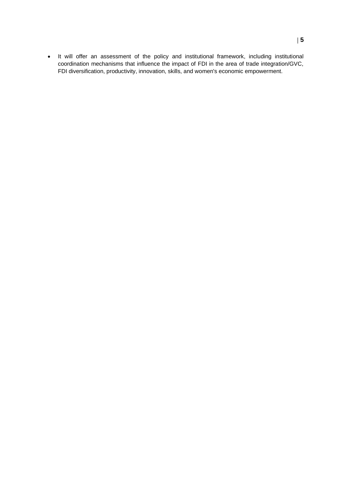• It will offer an assessment of the policy and institutional framework, including institutional coordination mechanisms that influence the impact of FDI in the area of trade integration/GVC, FDI diversification, productivity, innovation, skills, and women's economic empowerment.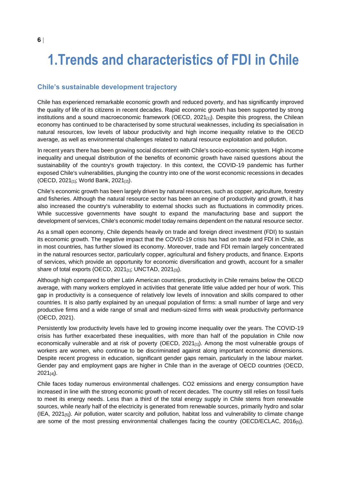# **1.Trends and characteristics of FDI in Chile**

## **Chile's sustainable development trajectory**

Chile has experienced remarkable economic growth and reduced poverty, and has significantly improved the quality of life of its citizens in recent decades. Rapid economic growth has been supported by strong institutions and a sound macroeconomic framework (OECD,  $2021_{[1]}$ ). Despite this progress, the Chilean economy has continued to be characterised by some structural weaknesses, including its specialisation in natural resources, low levels of labour productivity and high income inequality relative to the OECD average, as well as environmental challenges related to natural resource exploitation and pollution.

In recent years there has been growing social discontent with Chile's socio-economic system. High income inequality and unequal distribution of the benefits of economic growth have raised questions about the sustainability of the country's growth trajectory. In this context, the COVID-19 pandemic has further exposed Chile's vulnerabilities, plunging the country into one of the worst economic recessions in decades (OECD, 2021[1]; World Bank, 2021[2]).

Chile's economic growth has been largely driven by natural resources, such as copper, agriculture, forestry and fisheries. Although the natural resource sector has been an engine of productivity and growth, it has also increased the country's vulnerability to external shocks such as fluctuations in commodity prices. While successive governments have sought to expand the manufacturing base and support the development of services, Chile's economic model today remains dependent on the natural resource sector.

As a small open economy, Chile depends heavily on trade and foreign direct investment (FDI) to sustain its economic growth. The negative impact that the COVID-19 crisis has had on trade and FDI in Chile, as in most countries, has further slowed its economy. Moreover, trade and FDI remain largely concentrated in the natural resources sector, particularly copper, agricultural and fishery products, and finance. Exports of services, which provide an opportunity for economic diversification and growth, account for a smaller share of total exports (OECD,  $2021_{[1]}$ ; UNCTAD,  $2021_{[3]}$ ).

Although high compared to other Latin American countries, productivity in Chile remains below the OECD average, with many workers employed in activities that generate little value added per hour of work. This gap in productivity is a consequence of relatively low levels of innovation and skills compared to other countries. It is also partly explained by an unequal population of firms: a small number of large and very productive firms and a wide range of small and medium-sized firms with weak productivity performance (OECD, 2021).

Persistently low productivity levels have led to growing income inequality over the years. The COVID-19 crisis has further exacerbated these inequalities, with more than half of the population in Chile now economically vulnerable and at risk of poverty (OECD,  $2021_{[1]}$ ). Among the most vulnerable groups of workers are women, who continue to be discriminated against along important economic dimensions. Despite recent progress in education, significant gender gaps remain, particularly in the labour market. Gender pay and employment gaps are higher in Chile than in the average of OECD countries (OECD,  $2021_{[4]}$ ).

Chile faces today numerous environmental challenges. CO2 emissions and energy consumption have increased in line with the strong economic growth of recent decades. The country still relies on fossil fuels to meet its energy needs. Less than a third of the total energy supply in Chile stems from renewable sources, while nearly half of the electricity is generated from renewable sources, primarily hydro and solar (IEA, 2021[5]). Air pollution, water scarcity and pollution, habitat loss and vulnerability to climate change are some of the most pressing environmental challenges facing the country (OECD/ECLAC, 2016[5]).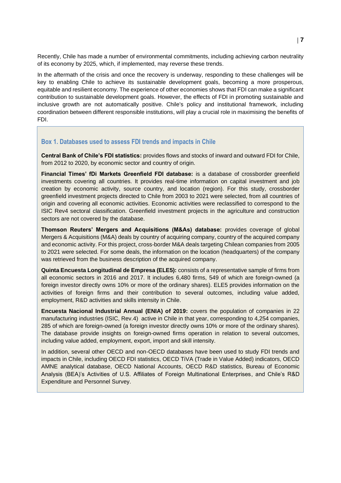Recently, Chile has made a number of environmental commitments, including achieving carbon neutrality of its economy by 2025, which, if implemented, may reverse these trends.

In the aftermath of the crisis and once the recovery is underway, responding to these challenges will be key to enabling Chile to achieve its sustainable development goals, becoming a more prosperous, equitable and resilient economy. The experience of other economies shows that FDI can make a significant contribution to sustainable development goals. However, the effects of FDI in promoting sustainable and inclusive growth are not automatically positive. Chile's policy and institutional framework, including coordination between different responsible institutions, will play a crucial role in maximising the benefits of FDI.

#### <span id="page-6-0"></span>**Box 1. Databases used to assess FDI trends and impacts in Chile**

**Central Bank of Chile's FDI statistics:** provides flows and stocks of inward and outward FDI for Chile, from 2012 to 2020, by economic sector and country of origin.

**Financial Times' fDi Markets Greenfield FDI database:** is a database of crossborder greenfield investments covering all countries. It provides real-time information on capital investment and job creation by economic activity, source country, and location (region). For this study, crossborder greenfield investment projects directed to Chile from 2003 to 2021 were selected, from all countries of origin and covering all economic activities. Economic activities were reclassified to correspond to the ISIC Rev4 sectoral classification. Greenfield investment projects in the agriculture and construction sectors are not covered by the database.

**Thomson Reuters' Mergers and Acquisitions (M&As) database:** provides coverage of global Mergers & Acquisitions (M&A) deals by country of acquiring company, country of the acquired company and economic activity. For this project, cross-border M&A deals targeting Chilean companies from 2005 to 2021 were selected. For some deals, the information on the location (headquarters) of the company was retrieved from the business description of the acquired company.

**Quinta Encuesta Longitudinal de Empresa (ELE5):** consists of a representative sample of firms from all economic sectors in 2016 and 2017. It includes 6,480 firms, 549 of which are foreign-owned (a foreign investor directly owns 10% or more of the ordinary shares). ELE5 provides information on the activities of foreign firms and their contribution to several outcomes, including value added, employment, R&D activities and skills intensity in Chile.

**Encuesta Nacional Industrial Annual (ENIA) of 2019:** covers the population of companies in 22 manufacturing industries (ISIC, Rev.4) active in Chile in that year, corresponding to 4,254 companies, 285 of which are foreign-owned (a foreign investor directly owns 10% or more of the ordinary shares). The database provide insights on foreign-owned firms operation in relation to several outcomes, including value added, employment, export, import and skill intensity.

In addition, several other OECD and non-OECD databases have been used to study FDI trends and impacts in Chile, including OECD FDI statistics, OECD TiVA (Trade in Value Added) indicators, OECD AMNE analytical database, OECD National Accounts, OECD R&D statistics, Bureau of Economic Analysis (BEA)'s Activities of U.S. Affiliates of Foreign Multinational Enterprises, and Chile's R&D Expenditure and Personnel Survey.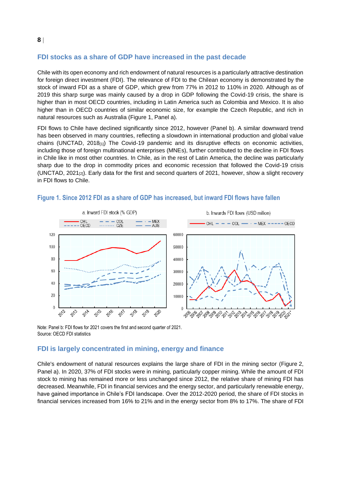# **FDI stocks as a share of GDP have increased in the past decade**

Chile with its open economy and rich endowment of natural resources is a particularly attractive destination for foreign direct investment (FDI). The relevance of FDI to the Chilean economy is demonstrated by the stock of inward FDI as a share of GDP, which grew from 77% in 2012 to 110% in 2020. Although as of 2019 this sharp surge was mainly caused by a drop in GDP following the Covid-19 crisis, the share is higher than in most OECD countries, including in Latin America such as Colombia and Mexico. It is also higher than in OECD countries of similar economic size, for example the Czech Republic, and rich in natural resources such as Australia [\(Figure](#page-7-0) 1, Panel a).

FDI flows to Chile have declined significantly since 2012, however (Panel b). A similar downward trend has been observed in many countries, reflecting a slowdown in international production and global value chains (UNCTAD,  $2018_{[1]}$ ) The Covid-19 pandemic and its disruptive effects on economic activities, including those of foreign multinational enterprises (MNEs), further contributed to the decline in FDI flows in Chile like in most other countries. In Chile, as in the rest of Latin America, the decline was particularly sharp due to the drop in commodity prices and economic recession that followed the Covid-19 crisis (UNCTAD,  $2021_{[2]}$ ). Early data for the first and second quarters of 2021, however, show a slight recovery in FDI flows to Chile.



#### <span id="page-7-0"></span>**Figure 1. Since 2012 FDI as a share of GDP has increased, but inward FDI flows have fallen**

Note: Panel b: FDI flows for 2021 covers the first and second quarter of 2021. Source: OECD FDI statistics

### **FDI is largely concentrated in mining, energy and finance**

Chile's endowment of natural resources explains the large share of FDI in the mining sector [\(Figure](#page-8-0) 2, Panel a). In 2020, 37% of FDI stocks were in mining, particularly copper mining. While the amount of FDI stock to mining has remained more or less unchanged since 2012, the relative share of mining FDI has decreased. Meanwhile, FDI in financial services and the energy sector, and particularly renewable energy, have gained importance in Chile's FDI landscape. Over the 2012-2020 period, the share of FDI stocks in financial services increased from 16% to 21% and in the energy sector from 8% to 17%. The share of FDI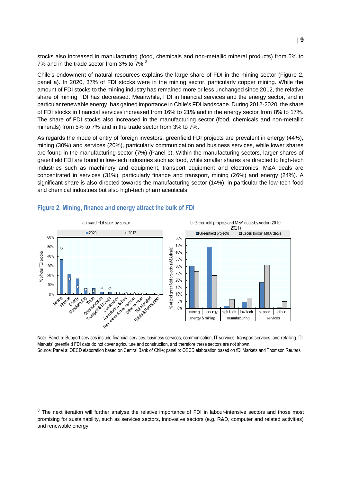stocks also increased in manufacturing (food, chemicals and non-metallic mineral products) from 5% to 7% and in the trade sector from 3% to 7%.<sup>3</sup>

Chile's endowment of natural resources explains the large share of FDI in the mining sector (Figure 2, panel a). In 2020, 37% of FDI stocks were in the mining sector, particularly copper mining. While the amount of FDI stocks to the mining industry has remained more or less unchanged since 2012, the relative share of mining FDI has decreased. Meanwhile, FDI in financial services and the energy sector, and in particular renewable energy, has gained importance in Chile's FDI landscape. During 2012-2020, the share of FDI stocks in financial services increased from 16% to 21% and in the energy sector from 8% to 17%. The share of FDI stocks also increased in the manufacturing sector (food, chemicals and non-metallic minerals) from 5% to 7% and in the trade sector from 3% to 7%.

As regards the mode of entry of foreign investors, greenfield FDI projects are prevalent in energy (44%), mining (30%) and services (20%), particularly communication and business services, while lower shares are found in the manufacturing sector (7%) (Panel b). Within the manufacturing sectors, larger shares of greenfield FDI are found in low-tech industries such as food, while smaller shares are directed to high-tech industries such as machinery and equipment, transport equipment and electronics. M&A deals are concentrated in services (31%), particularly finance and transport, mining (26%) and energy (24%). A significant share is also directed towards the manufacturing sector (14%), in particular the low-tech food and chemical industries but also high-tech pharmaceuticals.



#### <span id="page-8-0"></span>**Figure 2. Mining, finance and energy attract the bulk of FDI**

Note: Panel b: Support services include financial services, business services, communication, IT services, transport services, and retailing. fDi Markets' greenfield FDI data do not cover agriculture and construction, and therefore these sectors are not shown. Source: Panel a: OECD elaboration based on Central Bank of Chile; panel b: OECD elaboration based on fDi Markets and Thomson Reuters

 $3$  The next iteration will further analyse the relative importance of FDI in labour-intensive sectors and those most promising for sustainability, such as services sectors, innovative sectors (e.g. R&D, computer and related activities) and renewable energy.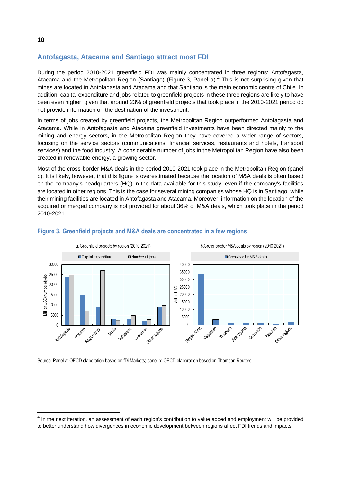# **Antofagasta, Atacama and Santiago attract most FDI**

During the period 2010-2021 greenfield FDI was mainly concentrated in three regions: Antofagasta, Atacama and the Metropolitan Region (Santiago) [\(Figure](#page-9-0) 3, Panel a). <sup>4</sup> This is not surprising given that mines are located in Antofagasta and Atacama and that Santiago is the main economic centre of Chile. In addition, capital expenditure and jobs related to greenfield projects in these three regions are likely to have been even higher, given that around 23% of greenfield projects that took place in the 2010-2021 period do not provide information on the destination of the investment.

In terms of jobs created by greenfield projects, the Metropolitan Region outperformed Antofagasta and Atacama. While in Antofagasta and Atacama greenfield investments have been directed mainly to the mining and energy sectors, in the Metropolitan Region they have covered a wider range of sectors, focusing on the service sectors (communications, financial services, restaurants and hotels, transport services) and the food industry. A considerable number of jobs in the Metropolitan Region have also been created in renewable energy, a growing sector.

Most of the cross-border M&A deals in the period 2010-2021 took place in the Metropolitan Region (panel b). It is likely, however, that this figure is overestimated because the location of M&A deals is often based on the company's headquarters (HQ) in the data available for this study, even if the company's facilities are located in other regions. This is the case for several mining companies whose HQ is in Santiago, while their mining facilities are located in Antofagasta and Atacama. Moreover, information on the location of the acquired or merged company is not provided for about 36% of M&A deals, which took place in the period 2010-2021.



## <span id="page-9-0"></span>**Figure 3. Greenfield projects and M&A deals are concentrated in a few regions**

Source: Panel a: OECD elaboration based on fDi Markets; panel b: OECD elaboration based on Thomson Reuters

<sup>&</sup>lt;sup>4</sup> In the next iteration, an assessment of each region's contribution to value added and employment will be provided to better understand how divergences in economic development between regions affect FDI trends and impacts.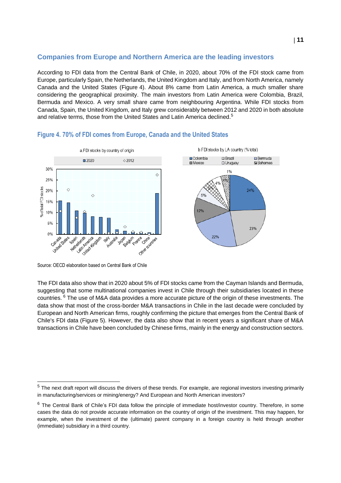# **Companies from Europe and Northern America are the leading investors**

According to FDI data from the Central Bank of Chile, in 2020, about 70% of the FDI stock came from Europe, particularly Spain, the Netherlands, the United Kingdom and Italy, and from North America, namely Canada and the United States [\(Figure](#page-10-0) 4). About 8% came from Latin America, a much smaller share considering the geographical proximity. The main investors from Latin America were Colombia, Brazil, Bermuda and Mexico. A very small share came from neighbouring Argentina. While FDI stocks from Canada, Spain, the United Kingdom, and Italy grew considerably between 2012 and 2020 in both absolute and relative terms, those from the United States and Latin America declined.<sup>5</sup>



### <span id="page-10-0"></span>**Figure 4. 70% of FDI comes from Europe, Canada and the United States**

Source: OECD elaboration based on Central Bank of Chile

The FDI data also show that in 2020 about 5% of FDI stocks came from the Cayman Islands and Bermuda, suggesting that some multinational companies invest in Chile through their subsidiaries located in these countries. <sup>6</sup> The use of M&A data provides a more accurate picture of the origin of these investments. The data show that most of the cross-border M&A transactions in Chile in the last decade were concluded by European and North American firms, roughly confirming the picture that emerges from the Central Bank of Chile's FDI data [\(Figure](#page-11-0) 5). However, the data also show that in recent years a significant share of M&A transactions in Chile have been concluded by Chinese firms, mainly in the energy and construction sectors.

<sup>&</sup>lt;sup>5</sup> The next draft report will discuss the drivers of these trends. For example, are regional investors investing primarily in manufacturing/services or mining/energy? And European and North American investors?

 $6$  The Central Bank of Chile's FDI data follow the principle of immediate host/investor country. Therefore, in some cases the data do not provide accurate information on the country of origin of the investment. This may happen, for example, when the investment of the (ultimate) parent company in a foreign country is held through another (immediate) subsidiary in a third country.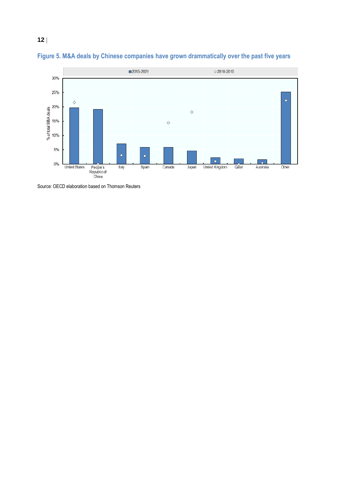

<span id="page-11-0"></span>

Source: OECD elaboration based on Thomson Reuters

**12**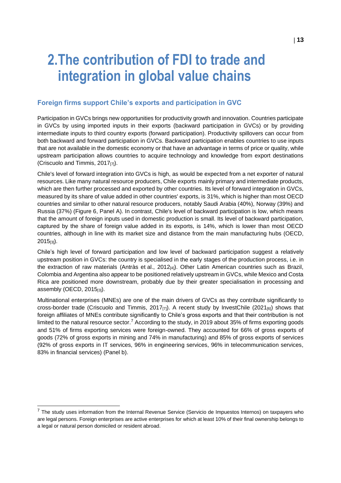# **2.The contribution of FDI to trade and integration in global value chains**

## **Foreign firms support Chile's exports and participation in GVC**

Participation in GVCs brings new opportunities for productivity growth and innovation. Countries participate in GVCs by using imported inputs in their exports (backward participation in GVCs) or by providing intermediate inputs to third country exports (forward participation). Productivity spillovers can occur from both backward and forward participation in GVCs. Backward participation enables countries to use inputs that are not available in the domestic economy or that have an advantage in terms of price or quality, while upstream participation allows countries to acquire technology and knowledge from export destinations (Criscuolo and Timmis, 2017[7]).

Chile's level of forward integration into GVCs is high, as would be expected from a net exporter of natural resources. Like many natural resource producers, Chile exports mainly primary and intermediate products, which are then further processed and exported by other countries. Its level of forward integration in GVCs, measured by its share of value added in other countries' exports, is 31%, which is higher than most OECD countries and similar to other natural resource producers, notably Saudi Arabia (40%), Norway (39%) and Russia (37%) [\(Figure](#page-13-0) 6, Panel A). In contrast, Chile's level of backward participation is low, which means that the amount of foreign inputs used in domestic production is small. Its level of backward participation, captured by the share of foreign value added in its exports, is 14%, which is lower than most OECD countries, although in line with its market size and distance from the main manufacturing hubs (OECD, 2015[3]).

Chile's high level of forward participation and low level of backward participation suggest a relatively upstream position in GVCs: the country is specialised in the early stages of the production process, i.e. in the extraction of raw materials (Antràs et al., 2012<sup>[4]</sup>). Other Latin American countries such as Brazil, Colombia and Argentina also appear to be positioned relatively upstream in GVCs, while Mexico and Costa Rica are positioned more downstream, probably due by their greater specialisation in processing and assembly (OECD, 2015[3]).

Multinational enterprises (MNEs) are one of the main drivers of GVCs as they contribute significantly to cross-border trade (Criscuolo and Timmis, 2017 $_{[7]}$ ). A recent study by InvestChile (2021 $_{[6]}$ ) shows that foreign affiliates of MNEs contribute significantly to Chile's gross exports and that their contribution is not limited to the natural resource sector.<sup>7</sup> According to the study, in 2019 about 35% of firms exporting goods and 51% of firms exporting services were foreign-owned. They accounted for 66% of gross exports of goods (72% of gross exports in mining and 74% in manufacturing) and 85% of gross exports of services (92% of gross exports in IT services, 96% in engineering services, 96% in telecommunication services, 83% in financial services) (Panel b).

 $7$  The study uses information from the Internal Revenue Service (Servicio de Impuestos Internos) on taxpayers who are legal persons. Foreign enterprises are active enterprises for which at least 10% of their final ownership belongs to a legal or natural person domiciled or resident abroad.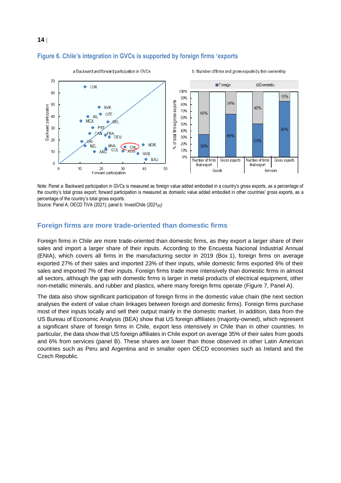

## <span id="page-13-0"></span>**Figure 6. Chile's integration in GVCs is supported by foreign firms 'exports**

Note: Panel a: Backward participation in GVCs is measured as foreign value added embodied in a country's gross exports, as a percentage of the country's total gross export; forward participation is measured as domestic value added embodied in other countries' gross exports, as a percentage of the country's total gross exports.

Source: Panel A: OECD TiVA (2021); panel b: InvestChile (2021<sub>[61</sub>)

**14**

#### **Foreign firms are more trade-oriented than domestic firms**

Foreign firms in Chile are more trade-oriented than domestic firms, as they export a larger share of their sales and import a larger share of their inputs. According to the Encuesta Nacional Industrial Annual (ENIA), which covers all firms in the manufacturing sector in 2019 [\(Box](#page-6-0) 1), foreign firms on average exported 27% of their sales and imported 23% of their inputs, while domestic firms exported 6% of their sales and imported 7% of their inputs. Foreign firms trade more intensively than domestic firms in almost all sectors, although the gap with domestic firms is larger in metal products of electrical equipment, other non-metallic minerals, and rubber and plastics, where many foreign firms operate [\(Figure 7,](#page-14-0) Panel A).

The data also show significant participation of foreign firms in the domestic value chain (the next section analyses the extent of value chain linkages between foreign and domestic firms). Foreign firms purchase most of their inputs locally and sell their output mainly in the domestic market. In addition, data from the US Bureau of Economic Analysis (BEA) show that US foreign affiliates (majority-owned), which represent a significant share of foreign firms in Chile, export less intensively in Chile than in other countries. In particular, the data show that US foreign affiliates in Chile export on average 35% of their sales from goods and 6% from services (panel B). These shares are lower than those observed in other Latin American countries such as Peru and Argentina and in smaller open OECD economies such as Ireland and the Czech Republic.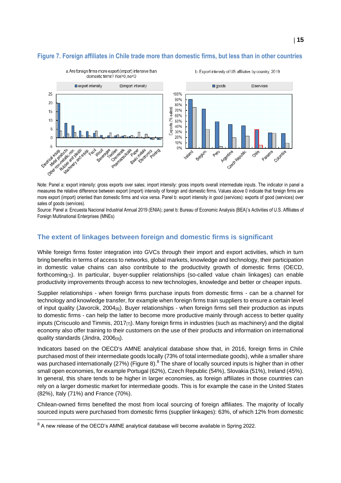# <span id="page-14-0"></span>**Figure 7. Foreign affiliates in Chile trade more than domestic firms, but less than in other countries**



Note: Panel a: export intensity: gross exports over sales; import intensity: gross imports overall intermediate inputs. The indicator in panel a measures the relative difference between export (import) intensity of foreign and domestic firms. Values above 0 indicate that foreign firms are more export (import) oriented than domestic firms and vice versa. Panel b: export intensity in good (services): exports of good (services) over sales of goods (services).

Source: Panel a: Encuesta Nacional Industrial Annual 2019 (ENIA); panel b: Bureau of Economic Analysis (BEA)'s Activities of U.S. Affiliates of Foreign Multinational Enterprises (MNEs)

## **The extent of linkages between foreign and domestic firms is significant**

While foreign firms foster integration into GVCs through their import and export activities, which in turn bring benefits in terms of access to networks, global markets, knowledge and technology, their participation in domestic value chains can also contribute to the productivity growth of domestic firms (OECD, forthcoming[7]). In particular, buyer-supplier relationships (so-called value chain linkages) can enable productivity improvements through access to new technologies, knowledge and better or cheaper inputs.

Supplier relationships - when foreign firms purchase inputs from domestic firms - can be a channel for technology and knowledge transfer, for example when foreign firms train suppliers to ensure a certain level of input quality (Javorcik, 2004[8]). Buyer relationships - when foreign firms sell their production as inputs to domestic firms - can help the latter to become more productive mainly through access to better quality inputs (Criscuolo and Timmis, 2017 $_{[7]}$ ). Many foreign firms in industries (such as machinery) and the digital economy also offer training to their customers on the use of their products and information on international quality standards (Jindra, 2006<sup>[9]</sup>).

Indicators based on the OECD's AMNE analytical database show that, in 2016, foreign firms in Chile purchased most of their intermediate goods locally (73% of total intermediate goods), while a smaller share was purchased internationally (27%) [\(Figure](#page-15-0) 8).<sup>8</sup> The share of locally sourced inputs is higher than in other small open economies, for example Portugal (62%), Czech Republic (54%), Slovakia (51%), Ireland (45%). In general, this share tends to be higher in larger economies, as foreign affiliates in those countries can rely on a larger domestic market for intermediate goods. This is for example the case in the United States (82%), Italy (71%) and France (70%).

Chilean-owned firms benefited the most from local sourcing of foreign affiliates. The majority of locally sourced inputs were purchased from domestic firms (supplier linkages): 63%, of which 12% from domestic

<sup>&</sup>lt;sup>8</sup> A new release of the OECD's AMNE analytical database will become available in Spring 2022.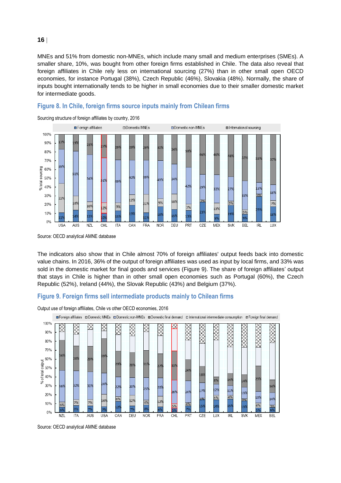MNEs and 51% from domestic non-MNEs, which include many small and medium enterprises (SMEs). A smaller share, 10%, was bought from other foreign firms established in Chile. The data also reveal that foreign affiliates in Chile rely less on international sourcing (27%) than in other small open OECD economies, for instance Portugal (38%), Czech Republic (46%), Slovakia (48%). Normally, the share of inputs bought internationally tends to be higher in small economies due to their smaller domestic market for intermediate goods.



#### <span id="page-15-0"></span>**Figure 8. In Chile, foreign firms source inputs mainly from Chilean firms**

Source: OECD analytical AMNE database

The indicators also show that in Chile almost 70% of foreign affiliates' output feeds back into domestic value chains. In 2016, 36% of the output of foreign affiliates was used as input by local firms, and 33% was sold in the domestic market for final goods and services [\(Figure](#page-15-1) 9). The share of foreign affiliates' output that stays in Chile is higher than in other small open economies such as Portugal (60%), the Czech Republic (52%), Ireland (44%), the Slovak Republic (43%) and Belgium (37%).

### <span id="page-15-1"></span>**Figure 9. Foreign firms sell intermediate products mainly to Chilean firms**



Output use of foreign affiliates, Chile vs other OECD economies, 2016

Source: OECD analytical AMNE database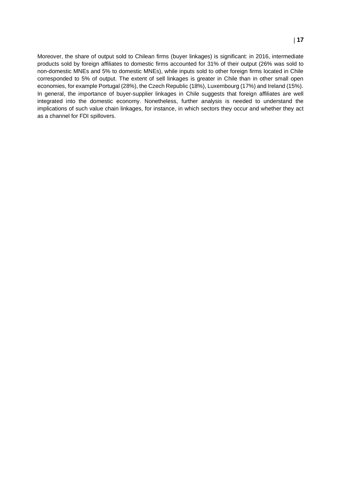Moreover, the share of output sold to Chilean firms (buyer linkages) is significant: in 2016, intermediate products sold by foreign affiliates to domestic firms accounted for 31% of their output (26% was sold to non-domestic MNEs and 5% to domestic MNEs), while inputs sold to other foreign firms located in Chile corresponded to 5% of output. The extent of sell linkages is greater in Chile than in other small open economies, for example Portugal (28%), the Czech Republic (18%), Luxembourg (17%) and Ireland (15%). In general, the importance of buyer-supplier linkages in Chile suggests that foreign affiliates are well integrated into the domestic economy. Nonetheless, further analysis is needed to understand the implications of such value chain linkages, for instance, in which sectors they occur and whether they act as a channel for FDI spillovers.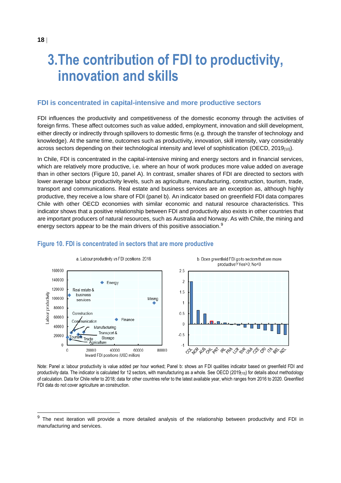# **3.The contribution of FDI to productivity, innovation and skills**

#### **FDI is concentrated in capital-intensive and more productive sectors**

FDI influences the productivity and competitiveness of the domestic economy through the activities of foreign firms. These affect outcomes such as value added, employment, innovation and skill development, either directly or indirectly through spillovers to domestic firms (e.g. through the transfer of technology and knowledge). At the same time, outcomes such as productivity, innovation, skill intensity, vary considerably across sectors depending on their technological intensity and level of sophistication (OECD,  $2019_{[10]}$ ).

In Chile, FDI is concentrated in the capital-intensive mining and energy sectors and in financial services, which are relatively more productive, i.e. where an hour of work produces more value added on average than in other sectors [\(Figure](#page-17-0) 10, panel A). In contrast, smaller shares of FDI are directed to sectors with lower average labour productivity levels, such as agriculture, manufacturing, construction, tourism, trade, transport and communications. Real estate and business services are an exception as, although highly productive, they receive a low share of FDI (panel b). An indicator based on greenfield FDI data compares Chile with other OECD economies with similar economic and natural resource characteristics. This indicator shows that a positive relationship between FDI and productivity also exists in other countries that are important producers of natural resources, such as Australia and Norway. As with Chile, the mining and energy sectors appear to be the main drivers of this positive association.<sup>9</sup>



#### <span id="page-17-0"></span>**Figure 10. FDI is concentrated in sectors that are more productive**

Note: Panel a: labour productivity is value added per hour worked; Panel b: shows an FDI qualities indicator based on greenfield FDI and productivity data. The indicator is calculated for 12 sectors, with manufacturing as a whole. See OECD (2019[10]) for details about methodology of calculation. Data for Chile refer to 2018; data for other countries refer to the latest available year, which ranges from 2016 to 2020. Greenfiled FDI data do not cover agriculture an construction.

<sup>&</sup>lt;sup>9</sup> The next iteration will provide a more detailed analysis of the relationship between productivity and FDI in manufacturing and services.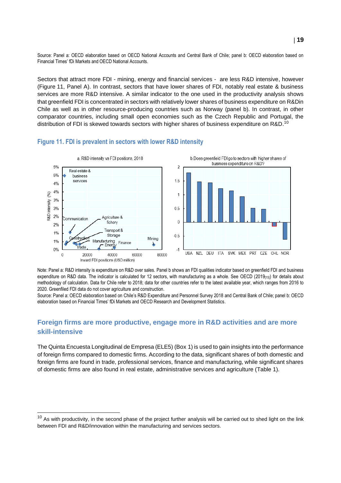Source: Panel a: OECD elaboration based on OECD National Accounts and Central Bank of Chile; panel b: OECD elaboration based on Financial Times' fDi Markets and OECD National Accounts.

Sectors that attract more FDI - mining, energy and financial services - are less R&D intensive, however [\(Figure](#page-18-0) 11, Panel A). In contrast, sectors that have lower shares of FDI, notably real estate & business services are more R&D intensive. A similar indicator to the one used in the productivity analysis shows that greenfield FDI is concentrated in sectors with relatively lower shares of business expenditure on R&Din Chile as well as in other resource-producing countries such as Norway (panel b). In contrast, in other comparator countries, including small open economies such as the Czech Republic and Portugal, the distribution of FDI is skewed towards sectors with higher shares of business expenditure on R&D.<sup>10</sup>

#### <span id="page-18-0"></span>**Figure 11. FDI is prevalent in sectors with lower R&D intensity**



Note: Panel a: R&D intensity is expenditure on R&D over sales. Panel b shows an FDI qualities indicator based on greenfield FDI and business expenditure on R&D data. The indicator is calculated for 12 sectors, with manufacturing as a whole. See OECD (2019[15]) for details about methodology of calculation. Data for Chile refer to 2018; data for other countries refer to the latest available year, which ranges from 2016 to 2020. Greenfiled FDI data do not cover agriculture and construction.

Source: Panel a: OECD elaboration based on Chile's R&D Expenditure and Personnel Survey 2018 and Central Bank of Chile; panel b: OECD elaboration based on Financial Times' fDi Markets and OECD Research and Development Statistics.

# **Foreign firms are more productive, engage more in R&D activities and are more skill-intensive**

The Quinta Encuesta Longitudinal de Empresa (ELE5) [\(Box](#page-6-0) 1) is used to gain insights into the performance of foreign firms compared to domestic firms. According to the data, significant shares of both domestic and foreign firms are found in trade, professional services, finance and manufacturing, while significant shares of domestic firms are also found in real estate, administrative services and agriculture [\(Table](#page-19-0) 1).

 $10$  As with productivity, in the second phase of the project further analysis will be carried out to shed light on the link between FDI and R&D/innovation within the manufacturing and services sectors.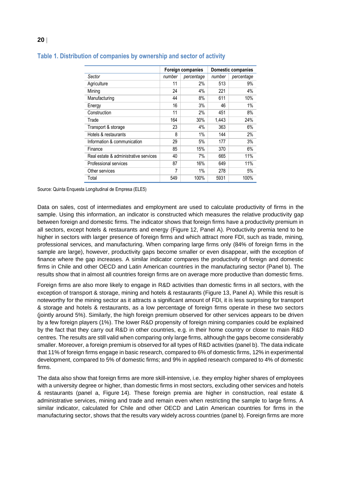|                                       | <b>Foreign companies</b> |            | Domestic companies |            |
|---------------------------------------|--------------------------|------------|--------------------|------------|
| Sector                                | number                   | percentage | number             | percentage |
| Agriculture                           | 11                       | 2%         | 513                | 9%         |
| Mining                                | 24                       | 4%         | 221                | 4%         |
| Manufacturing                         | 44                       | 8%         | 611                | 10%        |
| Energy                                | 16                       | 3%         | 46                 | 1%         |
| Construction                          | 11                       | 2%         | 451                | 8%         |
| Trade                                 | 164                      | 30%        | 1,443              | 24%        |
| Transport & storage                   | 23                       | 4%         | 363                | 6%         |
| Hotels & restaurants                  | 8                        | 1%         | 144                | 2%         |
| Information & communication           | 29                       | 5%         | 177                | 3%         |
| Finance                               | 85                       | 15%        | 370                | 6%         |
| Real estate & administrative services | 40                       | 7%         | 665                | 11%        |
| Professional services                 | 87                       | 16%        | 649                | 11%        |
| Other services                        | 7                        | $1\%$      | 278                | 5%         |
| Total                                 | 549                      | 100%       | 5931               | 100%       |

#### <span id="page-19-0"></span>**Table 1. Distribution of companies by ownership and sector of activity**

Source: Quinta Enquesta Longitudinal de Empresa (ELE5)

Data on sales, cost of intermediates and employment are used to calculate productivity of firms in the sample. Using this information, an indicator is constructed which measures the relative productivity gap between foreign and domestic firms. The indicator shows that foreign firms have a productivity premium in all sectors, except hotels & restaurants and energy [\(Figure](#page-20-0) 12, Panel A). Productivity premia tend to be higher in sectors with larger presence of foreign firms and which attract more FDI, such as trade, mining, professional services, and manufacturing. When comparing large firms only (84% of foreign firms in the sample are large), however, productivity gaps become smaller or even disappear, with the exception of finance where the gap increases. A similar indicator compares the productivity of foreign and domestic firms in Chile and other OECD and Latin American countries in the manufacturing sector (Panel b). The results show that in almost all countries foreign firms are on average more productive than domestic firms.

Foreign firms are also more likely to engage in R&D activities than domestic firms in all sectors, with the exception of transport & storage, mining and hotels & restaurants [\(Figure](#page-20-1) 13, Panel A). While this result is noteworthy for the mining sector as it attracts a significant amount of FDI, it is less surprising for transport & storage and hotels & restaurants, as a low percentage of foreign firms operate in these two sectors (jointly around 5%). Similarly, the high foreign premium observed for other services appears to be driven by a few foreign players (1%). The lower R&D propensity of foreign mining companies could be explained by the fact that they carry out R&D in other countries, e.g. in their home country or closer to main R&D centres. The results are still valid when comparing only large firms, although the gaps become considerably smaller. Moreover, a foreign premium is observed for all types of R&D activities (panel b). The data indicate that 11% of foreign firms engage in basic research, compared to 6% of domestic firms, 12% in experimental development, compared to 5% of domestic firms; and 9% in applied research compared to 4% of domestic firms.

The data also show that foreign firms are more skill-intensive, i.e. they employ higher shares of employees with a university degree or higher, than domestic firms in most sectors, excluding other services and hotels & restaurants (panel a, [Figure](#page-21-0) 14). These foreign premia are higher in construction, real estate & administrative services, mining and trade and remain even when restricting the sample to large firms. A similar indicator, calculated for Chile and other OECD and Latin American countries for firms in the manufacturing sector, shows that the results vary widely across countries (panel b). Foreign firms are more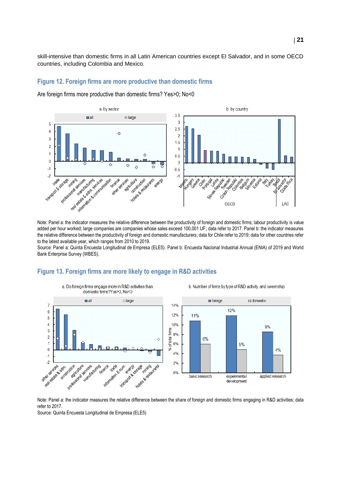skill-intensive than domestic firms in all Latin American countries except El Salvador, and in some OECD countries, including Colombia and Mexico.

### <span id="page-20-0"></span>**Figure 12. Foreign firms are more productive than domestic firms**

Are foreign firms more productive than domestic firms? Yes>0; No<0



Note: Panel a: the indicator measures the relative difference between the productivity of foreign and domestic firms; labour productivity is value added per hour worked; large companies are companies whose sales exceed 100,001 UF; data refer to 2017. Panel b: the indicator measures the relative difference between the productivity of foreign and domestic manufacturers; data for Chile refer to 2019; data for other countries refer to the latest available year, which ranges from 2010 to 2019.

Source: Panel a: Quinta Encuesta Longitudinal de Empresa (ELE5). Panel b: Encuesta Nacional Industrial Annual (ENIA) of 2019 and World Bank Enterprise Survey (WBES).

#### <span id="page-20-1"></span>**Figure 13. Foreign firms are more likely to engage in R&D activities**



Note: Panel a: the indicator measures the relative difference between the share of foreign and domestic firms engaging in R&D activities; data refer to 2017.

Source: Quinta Encuesta Longitudinal de Empresa (ELE5)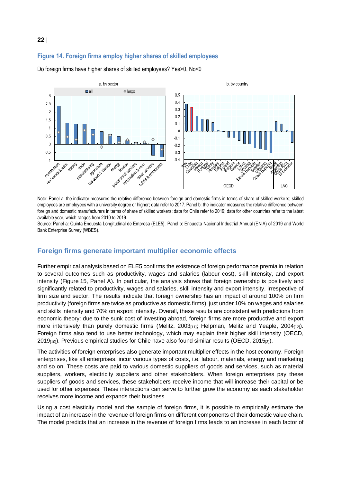# <span id="page-21-0"></span>**Figure 14. Foreign firms employ higher shares of skilled employees**

Do foreign firms have higher shares of skilled employees? Yes>0, No<0



Note: Panel a: the indicator measures the relative difference between foreign and domestic firms in terms of share of skilled workers; skilled employees are employees with a university degree or higher; data refer to 2017. Panel b: the indicator measures the relative difference between foreign and domestic manufacturers in terms of share of skilled workers; data for Chile refer to 2019; data for other countries refer to the latest available year, which ranges from 2010 to 2019.

Source: Panel a: Quinta Encuesta Longitudinal de Empresa (ELE5). Panel b: Encuesta Nacional Industrial Annual (ENIA) of 2019 and World Bank Enterprise Survey (WBES).

### **Foreign firms generate important multiplier economic effects**

Further empirical analysis based on ELE5 confirms the existence of foreign performance premia in relation to several outcomes such as productivity, wages and salaries (labour cost), skill intensity, and export intensity [\(Figure](#page-22-0) 15, Panel A). In particular, the analysis shows that foreign ownership is positively and significantly related to productivity, wages and salaries, skill intensity and export intensity, irrespective of firm size and sector. The results indicate that foreign ownership has an impact of around 100% on firm productivity (foreign firms are twice as productive as domestic firms), just under 10% on wages and salaries and skills intensity and 70% on export intensity. Overall, these results are consistent with predictions from economic theory: due to the sunk cost of investing abroad, foreign firms are more productive and export more intensively than purely domestic firms (Melitz, 2003 $_{[11]}$ ; Helpman, Melitz and Yeaple, 2004 $_{[12]}$ ). Foreign firms also tend to use better technology, which may explain their higher skill intensity (OECD,  $2019_{[10]}$ ). Previous empirical studies for Chile have also found similar results (OECD,  $2015_{[3]}$ ).

The activities of foreign enterprises also generate important multiplier effects in the host economy. Foreign enterprises, like all enterprises, incur various types of costs, i.e. labour, materials, energy and marketing and so on. These costs are paid to various domestic suppliers of goods and services, such as material suppliers, workers, electricity suppliers and other stakeholders. When foreign enterprises pay these suppliers of goods and services, these stakeholders receive income that will increase their capital or be used for other expenses. These interactions can serve to further grow the economy as each stakeholder receives more income and expands their business.

Using a cost elasticity model and the sample of foreign firms, it is possible to empirically estimate the impact of an increase in the revenue of foreign firms on different components of their domestic value chain. The model predicts that an increase in the revenue of foreign firms leads to an increase in each factor of

#### **22**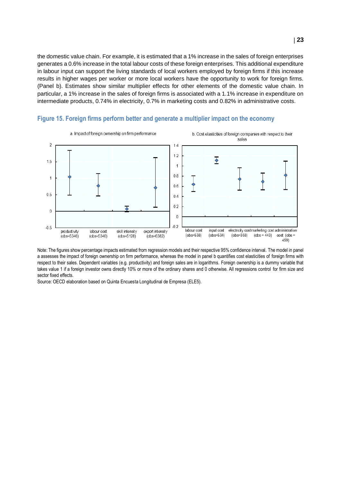the domestic value chain. For example, it is estimated that a 1% increase in the sales of foreign enterprises generates a 0.6% increase in the total labour costs of these foreign enterprises. This additional expenditure in labour input can support the living standards of local workers employed by foreign firms if this increase results in higher wages per worker or more local workers have the opportunity to work for foreign firms. (Panel b). Estimates show similar multiplier effects for other elements of the domestic value chain. In particular, a 1% increase in the sales of foreign firms is associated with a 1.1% increase in expenditure on intermediate products, 0.74% in electricity, 0.7% in marketing costs and 0.82% in administrative costs.



### <span id="page-22-0"></span>**Figure 15. Foreign firms perform better and generate a multiplier impact on the economy**

Note: The figures show percentage impacts estimated from regression models and their respective 95% confidence interval. The model in panel a assesses the impact of foreign ownership on firm performance, whereas the model in panel b quantifies cost elasticities of foreign firms with respect to their sales. Dependent variables (e.g. productivity) and foreign sales are in logarithms. Foreign ownership is a dummy variable that takes value 1 if a foreign investor owns directly 10% or more of the ordinary shares and 0 otherwise. All regressions control for firm size and sector fixed effects.

Source: OECD elaboration based on Quinta Encuesta Longitudinal de Empresa (ELE5).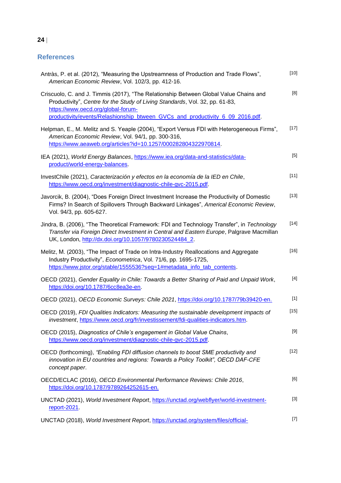# **References**

| Antràs, P. et al. (2012), "Measuring the Upstreamness of Production and Trade Flows",<br>American Economic Review, Vol. 102/3, pp. 412-16.                                                                                                                                                   | $[10]$ |
|----------------------------------------------------------------------------------------------------------------------------------------------------------------------------------------------------------------------------------------------------------------------------------------------|--------|
| Criscuolo, C. and J. Timmis (2017), "The Relationship Between Global Value Chains and<br>Productivity", Centre for the Study of Living Standards, Vol. 32, pp. 61-83,<br>https://www.oecd.org/global-forum-<br>productivity/events/Relashionship btween GVCs and productivity 6 09 2016.pdf. | [8]    |
| Helpman, E., M. Melitz and S. Yeaple (2004), "Export Versus FDI with Heterogeneous Firms",<br>American Economic Review, Vol. 94/1, pp. 300-316,<br>https://www.aeaweb.org/articles?id=10.1257/000282804322970814.                                                                            | $[17]$ |
| IEA (2021), World Energy Balances, https://www.iea.org/data-and-statistics/data-<br>product/world-energy-balances.                                                                                                                                                                           | $[5]$  |
| InvestChile (2021), Caracterización y efectos en la economía de la IED en Chile,<br>https://www.oecd.org/investment/diagnostic-chile-gvc-2015.pdf.                                                                                                                                           | $[11]$ |
| Javorcik, B. (2004), "Does Foreign Direct Investment Increase the Productivity of Domestic<br>Firms? In Search of Spillovers Through Backward Linkages", Americal Economic Review,<br>Vol. 94/3, pp. 605-627.                                                                                | $[13]$ |
| Jindra, B. (2006), "The Theoretical Framework: FDI and Technology Transfer", in Technology<br>Transfer via Foreign Direct Investment in Central and Eastern Europe, Palgrave Macmillan<br>UK, London, http://dx.doi.org/10.1057/9780230524484_2.                                             | $[14]$ |
| Melitz, M. (2003), "The Impact of Trade on Intra-Industry Reallocations and Aggregate<br>Industry Productivity", Econometrica, Vol. 71/6, pp. 1695-1725,<br>https://www.jstor.org/stable/1555536?seq=1#metadata_info_tab_contents.                                                           | $[16]$ |
| OECD (2021), Gender Equality in Chile: Towards a Better Sharing of Paid and Unpaid Work,<br>https://doi.org/10.1787/6cc8ea3e-en.                                                                                                                                                             | $[4]$  |
| OECD (2021), OECD Economic Surveys: Chile 2021, https://doi.org/10.1787/79b39420-en.                                                                                                                                                                                                         | $[1]$  |
| OECD (2019), FDI Qualities Indicators: Measuring the sustainable development impacts of<br>investment, https://www.oecd.org/fr/investissement/fdi-qualities-indicators.htm.                                                                                                                  | $[15]$ |
| OECD (2015), Diagnostics of Chile's engagement in Global Value Chains,<br>https://www.oecd.org/investment/diagnostic-chile-gvc-2015.pdf.                                                                                                                                                     | $[9]$  |
| OECD (forthcoming), "Enabling FDI diffusion channels to boost SME productivity and<br>innovation in EU countries and regions: Towards a Policy Toolkit", OECD DAF-CFE<br>concept paper.                                                                                                      | $[12]$ |
| OECD/ECLAC (2016), OECD Environmental Performance Reviews: Chile 2016,<br>https://doi.org/10.1787/9789264252615-en.                                                                                                                                                                          | [6]    |
| UNCTAD (2021), World Investment Report, https://unctad.org/webflyer/world-investment-<br>report- $2021$                                                                                                                                                                                      | $[3]$  |
| UNCTAD (2018), World Investment Report, https://unctad.org/system/files/official-                                                                                                                                                                                                            | $[7]$  |